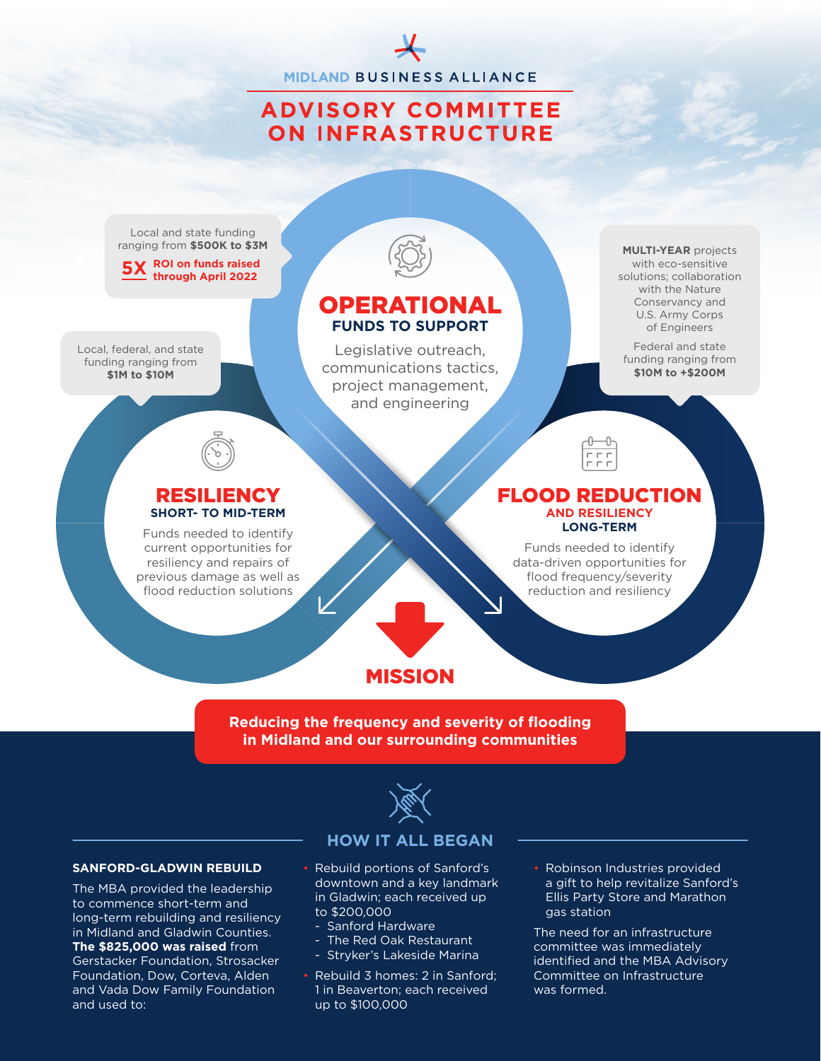**MIDLAND BUSINESS ALLIANCE** 

# **ADVISORY COMMITTEE ON INFRASTRUCTURE**

Local and state funding ranging from **\$500K to \$3M**

**ROI on funds raised 5X through April 2022**

Local, federal, and state funding ranging from **\$1M to \$10M** 



## OPERATIONAL **FUNDS TO SUPPORT**

Legislative outreach, communications tactics, project management, and engineering

**MULTI-YEAR** projects with eco-sensitive solutions; collaboration with the Nature Conservancy and U.S. Army Corps of Engineers

Federal and state funding ranging from **\$10M to +\$200M** 

## RESILIENCY **SHORT- TO MID-TERM**

Funds needed to identify current opportunities for resiliency and repairs of previous damage as well as flood reduction solutions

## FLOOD REDUCTION **AND RESILIENCY LONG-TERM**

Funds needed to identify data-driven opportunities for flood frequency/severity reduction and resiliency

# MISSION

## **Reducing the frequency and severity of flooding in Midland and our surrounding communities**



#### **SANFORD-GLADWIN REBUILD**

The MBA provided the leadership to commence short-term and long-term rebuilding and resiliency in Midland and Gladwin Counties. **The \$825,000 was raised** from Gerstacker Foundation, Strosacker Foundation, Dow, Corteva, Alden and Vada Dow Family Foundation and used to:

## **HOW IT ALL BEGAN**

- Rebuild portions of Sanford's downtown and a key landmark in Gladwin; each received up to \$200,000
	- Sanford Hardware
	- The Red Oak Restaurant
	- Stryker's Lakeside Marina
- Rebuild 3 homes: 2 in Sanford; 1 in Beaverton; each received up to \$100,000
- Robinson Industries provided a gift to help revitalize Sanford's Ellis Party Store and Marathon gas station

The need for an infrastructure committee was immediately identified and the MBA Advisory Committee on Infrastructure was formed.